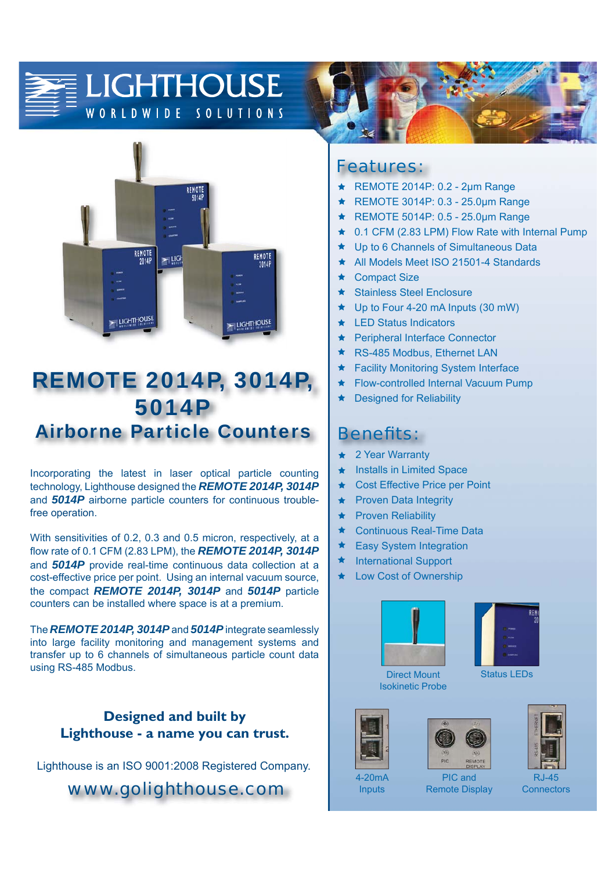#### **LIGHTHOUSE** WORLDWIDE SOLUTIONS



## REMOTE 2014P, 3014P, 5014P Airborne Particle Counters

Incorporating the latest in laser optical particle counting technology, Lighthouse designed the *REMOTE 2014P, 3014P* and *5014P* airborne particle counters for continuous troublefree operation.

With sensitivities of 0.2, 0.3 and 0.5 micron, respectively, at a flow rate of 0.1 CFM (2.83 LPM), the **REMOTE 2014P, 3014P** and *5014P* provide real-time continuous data collection at a cost-effective price per point. Using an internal vacuum source, the compact *REMOTE 2014P, 3014P* and *5014P* particle counters can be installed where space is at a premium.

The *REMOTE 2014P, 3014P* and *5014P* integrate seamlessly into large facility monitoring and management systems and transfer up to 6 channels of simultaneous particle count data using RS-485 Modbus.

#### **Designed and built by Lighthouse - a name you can trust.**

Lighthouse is an ISO 9001:2008 Registered Company.

*www.golighthouse.com*

### *Features:*

- REMOTE 2014P: 0.2 2μm Range ÷
- REMOTE 3014P: 0.3 25.0μm Range  $\bigstar$
- $\bigstar$ REMOTE 5014P: 0.5 - 25.0μm Range
- $\bigstar$ 0.1 CFM (2.83 LPM) Flow Rate with Internal Pump
- Up to 6 Channels of Simultaneous Data  $\bullet$
- $\bigstar$ All Models Meet ISO 21501-4 Standards
- $\ddot{\phantom{1}}$ Compact Size
- \* Stainless Steel Enclosure
- $\bigstar$ Up to Four 4-20 mA Inputs (30 mW)
- LED Status Indicators
- Peripheral Interface Connector
- $\bullet$ RS-485 Modbus, Ethernet LAN
- $\bullet$ Facility Monitoring System Interface
- Flow-controlled Internal Vacuum Pump  $\bigstar$
- $\bigstar$ Designed for Reliability

#### *Benefi ts:*

- $\blacklozenge$ 2 Year Warranty
- $\bigstar$ **Installs in Limited Space**
- $\bigstar$ Cost Effective Price per Point
- Proven Data Integrity  $\bigstar$
- $\bigstar$ Proven Reliability
- $\bigstar$ Continuous Real-Time Data
- $\bigstar$ Easy System Integration
- ★ International Support
- Low Cost of Ownership ٠





Direct Mount Isokinetic Probe







**Inputs** 

PIC and Remote Display **Connectors**